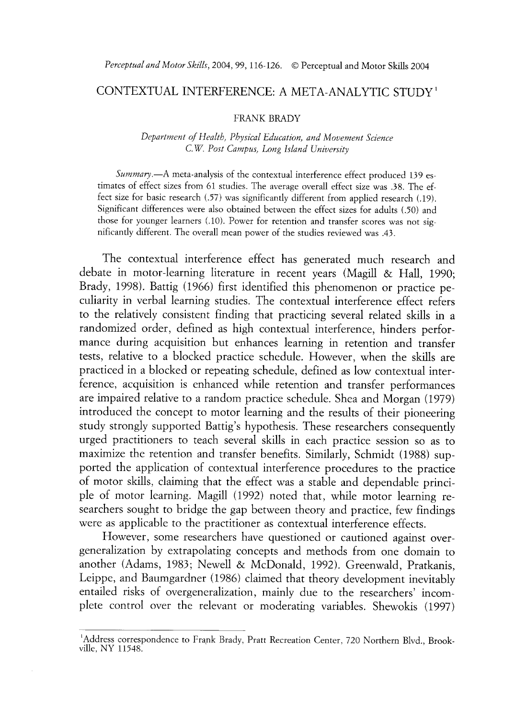## CONTEXTUAL INTERFERENCE: A META-ANALYTIC STUDY '

#### FRANK BRADY

### *Department of Health, Phvsical Education, and Movement Science C. W. Post Campus, Long Island University*

*Summary.*--A meta-analysis of the contextual interference effect produced 139 estimates of effect sizes from 61 studies. The average overall effect size was 38. The effect size for basic research *(.57)* was significantly different from applied research (.19). Significant differences were also obtained between the effect sizes for adults (.50) and those for younger learners (.lo). Power for retention and transfer scores was not significantly different. The overall mean power of the studies reviewed was .43.

The contextual interference effect has generated much research and debate in motor-learning literature in recent years (Magill & Hall, 1990; Brady, 1998). Battig (1966) first identified this phenomenon or practice peculiarity in verbal learning studies. The contextual interference effect refers to the relatively consistent finding that practicing several related skills in a randomized order, defined as high contextual interference, hinders performance during acquisition but enhances learning in retention and transfer tests, relative to a blocked practice schedule. However, when the skills are practiced in a blocked or repeating schedule, defined as low contextual interference, acquisition is enhanced while retention and transfer performances are impaired relative to a random practice schedule. Shea and Morgan (1979) introduced the concept to motor learning and the results of their pioneering study strongly supported Battig's hypothesis. These researchers consequently urged practitioners to teach several skills in each practice session so as to maximize the retention and transfer benefits. Similarly, Schmidt (1988) supported the application of contextual interference procedures to the practice of motor skills, claiming that the effect was a stable and dependable principle of motor learning. Magill (1992) noted that, while motor learning researchers sought to bridge the gap between theory and practice, few findings were as applicable to the practitioner as contextual interference effects.

However, some researchers have questioned or cautioned against overgeneralization by extrapolating concepts and methods from one domain to another (Adams, 1983; Newell & McDonald, 1992). Greenwald, Pratkanis, Leippe, and Baumgardner (1986) claimed that theory development inevitably entailed risks of overgeneralization, mainly due to the researchers' incomplete control over the relevant or moderating variables. Shewokis (1997)

<sup>&#</sup>x27;Address correspondence to Frank Brady, Pratt Recreation Center, 720 Northern Blvd., Brookville, NY 11548.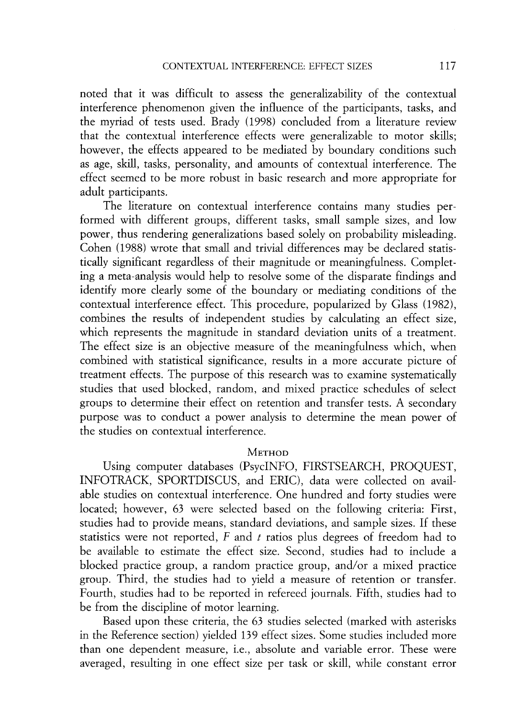noted that it was difficult to assess the generalizability of the contextual interference phenomenon given the influence of the participants, tasks, and the myriad of tests used. Brady (1998) concluded from a literature review that the contextual interference effects were generalizable to motor skills; however, the effects appeared to be mediated by boundary conditions such as age, skdl, tasks, personality, and amounts of contextual interference. The effect seemed to be more robust in basic research and more appropriate for adult participants.

The literature on contextual interference contains many studies performed with different groups, different tasks, small sample sizes, and low power, thus rendering generalizations based solely on probability misleading. Cohen (1988) wrote that small and trivial differences may be declared statistically significant regardless of their magnitude or meaningfulness. Completing a meta-analysis would help to resolve some of the disparate findings and identify more clearly some of the boundary or mediating conditions of the contextual interference effect. This procedure, popularized by Glass (1982)) combines the results of independent studies by calculating an effect size, which represents the magnitude in standard deviation units of a treatment. The effect size is an objective measure of the meaningfulness which, when combined with statistical significance, results in a more accurate picture of treatment effects. The purpose of this research was to examine systematically studies that used blocked, random, and mixed practice schedules of select groups to determine their effect on retention and transfer tests. A secondary purpose was to conduct a power analysis to determine the mean power of the studies on contextual interference.

## **METHOD**

Using computer databases (PsycINFO, FIRSTSEARCH, PROQUEST, INFOTRACK, SPORTDISCUS, and ERIC), data were collected on available studies on contextual interference. One hundred and forty studies were located; however, 63 were selected based on the following criteria: First, studies had to provide means, standard deviations, and sample sizes. If these statistics were not reported, F and *t* ratios plus degrees of freedom had to be available to estimate the effect size. Second, studies had to include a blocked practice group, a random practice group, and/or a mixed practice group. Third, the studies had to yield a measure of retention or transfer. Fourth, studies had to be reported in refereed journals. Fifth, studies had to be from the discipline of motor learning.

Based upon these criteria, the 63 studies selected (marked with asterisks in the Reference section) yielded 139 effect sizes. Some studies included more than one dependent measure, i.e., absolute and variable error. These were averaged, resulting in one effect size per task or skill, while constant error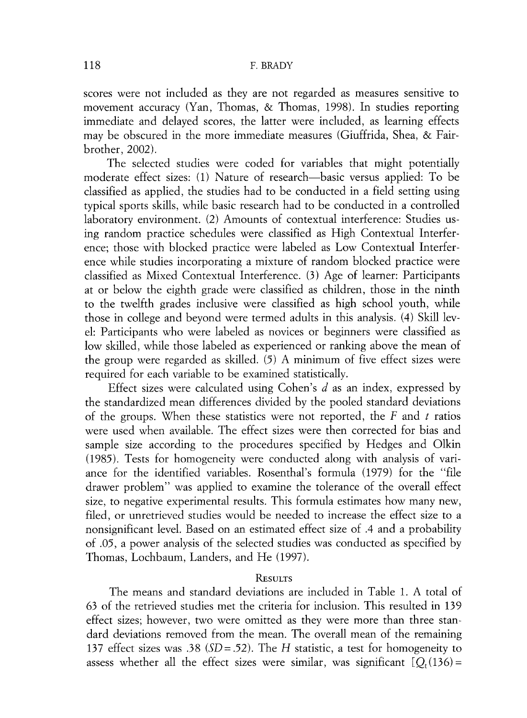scores were not included as they are not regarded as measures sensitive to movement accuracy (Yan, Thomas, & Thomas, 1998). In studies reporting immediate and delayed scores, the latter were included, as learning effects may be obscured in the more immediate measures (Giuffrida, Shea, & Fairbrother, 2002).

The selected studies were coded for variables that might potentially moderate effect sizes: (1) Nature of research-basic versus applied: To be classified as applied, the studies had to be conducted in a field setting using typical sports skills, while basic research had to be conducted in a controlled laboratory environment. (2) Amounts of contextual interference: Studies using random practice schedules were classified as High Contextual Interference; those with blocked practice were labeled as Low Contextual Interference while studies incorporating a mixture of random blocked practice were classified as Mixed Contextual Interference. (3) Age of learner: Participants at or below the eighth grade were classified as children, those in the ninth to the twelfth grades inclusive were classified as high school youth, while those in college and beyond were termed adults in this analysis. (4) Skill level: Participants who were labeled as novices or beginners were classified as low skilled, while those labeled as experienced or ranking above the mean of the group were regarded as skilled. (5) A minimum of five effect sizes were required for each variable to be examined statistically.

Effect sizes were calculated using Cohen's d as an index, expressed by the standardized mean differences divided by the pooled standard deviations of the groups. When these statistics were not reported, the F and *t* ratios were used when available. The effect sizes were then corrected for bias and sample size according to the procedures specified by Hedges and Olkin (1985). Tests for homogeneity were conducted along with analysis of variance for the identified variables. Rosenthal's formula (1979) for the "file drawer problem" was applied to examine the tolerance of the overall effect size, to negative experimental results. This formula estimates how many new, filed, or unretrieved studies would be needed to increase the effect size to a nonsignificant level. Based on an estimated effect size of .4 and a probability of .05, a power analysis of the selected studies was conducted as specified by Thomas, Lochbaum, Landers, and He (1997).

### **RESULTS**

The means and standard deviations are included in Table 1. A total of 63 of the retrieved studies met the criteria for inclusion. This resulted in 139 effect sizes; however, two were omitted as they were more than three standard deviations removed from the mean. The overall mean of the remaining 137 effect sizes was .38 *(SD=* .52). The *H* statistic, a test for homogeneity to assess whether all the effect sizes were similar, was significant  $[Q_t(136) =$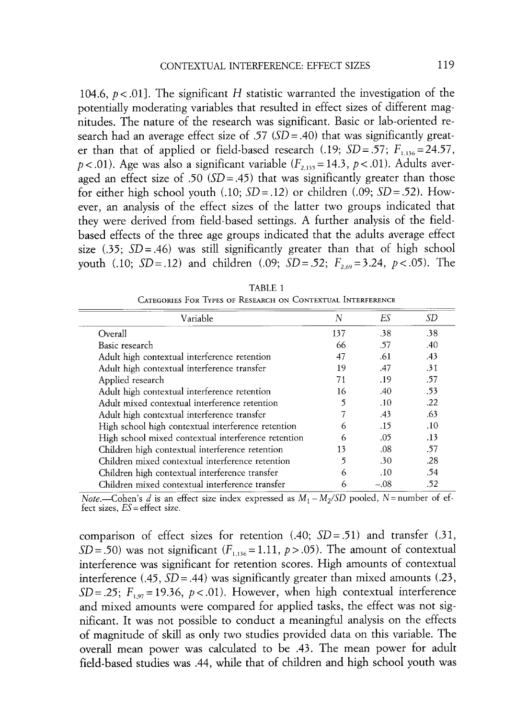*104.6, p* < *.Ol].* The significant *H* statistic warranted the investigation of the potentially moderating variables that resulted in effect sizes of different magnitudes. The nature of the research was significant. Basic or lab-oriented research had an average effect size of *.57 (SD* = *.40)* that was significantly greater than that of applied or field-based research (.19;  $SD = .57$ ;  $F_{1,136} = 24.57$ ,  $p < .01$ ). Age was also a significant variable  $(F_{2,135} = 14.3, p < .01)$ . Adults averaged an effect size of *.50 (SD* = .45) that was significantly greater than those for either high school youth  $(.10; SD = .12)$  or children  $(.09; SD = .52)$ . However, an analysis of the effect sizes of the latter two groups indicated that they were derived from field-based settings. A further analysis of the fieldbased effects of the three age groups indicated that the adults average effect size *(35; SD=.46)* was still significantly greater than that of high school youth *(.10; SD* = *.12)* and children *(.09; SD* = *.52; F<sub>2.69</sub>* = 3.24, *p* < *.05)*. The

| Variable                                            | N              | Eς     | SD  |
|-----------------------------------------------------|----------------|--------|-----|
| Overall                                             | 137            | .38    | .38 |
| Basic research                                      | 66             | .57    | .40 |
| Adult high contextual interference retention        | 47             | .61    | .43 |
| Adult high contextual interference transfer         | 19             | .47    | .31 |
| Applied research                                    | 71             | .19    | .57 |
| Adult high contextual interference retention        | 16             | .40    | .53 |
| Adult mixed contextual interference retention       | 5              | .10    | 22  |
| Adult high contextual interference transfer         |                | .43    | .63 |
| High school high contextual interference retention  | 6              | .15    | .10 |
| High school mixed contextual interference retention |                | .05    | .13 |
| Children high contextual interference retention     | 13             | .08    | .57 |
| Children mixed contextual interference retention    | $\overline{5}$ | .30    | .28 |
| Children high contextual interference transfer      | 6              | .10    | .54 |
| Children mixed contextual interference transfer     | 6              | $-.08$ | .52 |

TABLE 1 CATEGORIES FOR TYPES OF RESEARCH ON CONTEXTUAL INTERFERENCE

Note.--Cohen's d is an effect size index expressed as  $M_1 - M_2/SD$  pooled, N=number of effect sizes, *ES=* effect size.

comparison of effect sizes for retention *(.40; SD= .51)* and transfer *(31, SD* = *.50*) was not significant  $(F_{1,136} = 1.11, p > .05)$ . The amount of contextual interference was significant for retention scores. High amounts of contextual interference *(.45, SD* = *.44)* was significantly greater than mixed amounts *(.23, SD* = .25;  $F_{1.97}$  = 19.36,  $p < .01$ ). However, when high contextual interference and mixed amounts were compared for applied tasks, the effect was not significant. It was not possible to conduct a meaningful analysis on the effects of magnitude of skill as only two studies provided data on this variable. The overall mean power was calculated to be *.43.* The mean power for adult field-based studies was *.44,* while that of children and high school youth was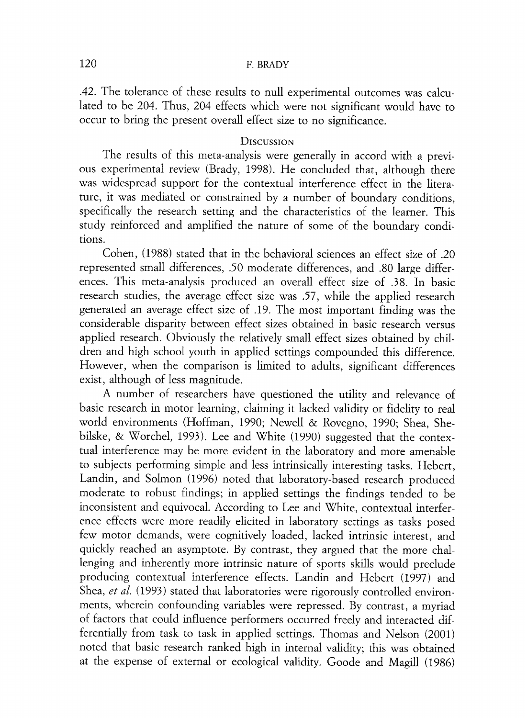## 120 F. BRADY

.42. The tolerance of these results to null experimental outcomes was calculated to be 204. Thus, 204 effects which were not significant would have to occur to bring the present overall effect size to no significance.

## **DISCUSSION**

The results of this meta-analysis were generally in accord with a previous experimental review (Brady, 1978). He concluded that, although there was widespread support for the contextual interference effect in the literature, it was mediated or constrained by a number of boundary conditions, specifically the research setting and the characteristics of the learner. This study reinforced and amplified the nature of some of the boundary conditions.

Cohen, (1988) stated that in the behavioral sciences an effect size of 20 represented small differences, .50 moderate differences, and .80 large differences. This meta-analysis produced an overall effect size of 38. In basic research studies, the average effect size was .57, while the applied research generated an average effect size of .19. The most important finding was the considerable disparity between effect sizes obtained in basic research versus applied research. Obviously the relatively small effect sizes obtained by children and high school youth in applied settings compounded this difference. However, when the comparison is limited to adults, significant differences exist, although of less magnitude.

A number of researchers have questioned the utility and relevance of basic research in motor learning, claiming it lacked validity or fidelity to real world environments (Hoffman, 1990; Newel1 & Rovegno, 1990; Shea, Shebilske, & Worchel, 1993). Lee and White (1990) suggested that the contextual interference may be more evident in the laboratory and more amenable to subjects performing simple and less intrinsically interesting tasks. Hebert, Landin, and Solmon (1996) noted that laboratory-based research produced moderate to robust findings; in applied settings the findings tended to be inconsistent and equivocal. According to Lee and White, contextual interference effects were more readily elicited in laboratory settings as tasks posed few motor demands, were cognitively loaded, lacked intrinsic interest, and quickly reached an asymptote. By contrast, they argued that the more challenging and inherently more intrinsic nature of sports skills would preclude producing contextual interference effects. Landin and Hebert (1997) and Shea, *et al.* (1993) stated that laboratories were rigorously controlled environments, wherein confounding variables were repressed. By contrast, a myriad of factors that could influence performers occurred freely and interacted differentially from task to task in applied settings. Thomas and Nelson (2001) noted that basic research ranked high in internal validity; this was obtained at the expense of external or ecological validity. Goode and Magdl (1986)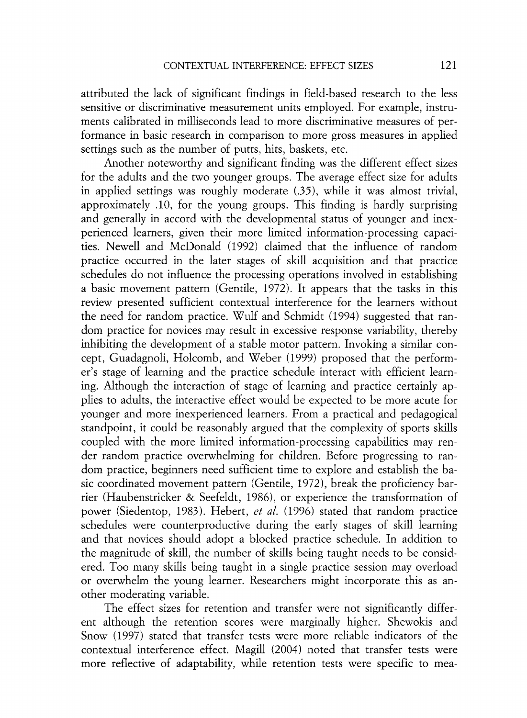attributed the lack of significant findings in field-based research to the less sensitive or discriminative measurement units employed. For example, instruments calibrated in milliseconds lead to more discriminative measures of performance in basic research in comparison to more gross measures in applied settings such as the number of putts, hits, baskets, etc.

Another noteworthy and significant finding was the different effect sizes for the adults and the two younger groups. The average effect size for adults in applied settings was roughly moderate (.35), while it was almost trivial, approximately .lo, for the young groups. This finding is hardly surprising and generally in accord with the developmental status of younger and inexperienced learners, given their more limited information-processing capacities. Newel1 and McDonald (1992) claimed that the influence of random practice occurred in the later stages of skill acquisition and that practice schedules do not influence the processing operations involved in establishing a basic movement pattern (Gentile, 1972). It appears that the tasks in this review presented sufficient contextual interference for the learners without the need for random practice. Wulf and Schmidt (1994) suggested that random practice for novices may result in excessive response variability, thereby inhibiting the development of a stable motor pattern. Invoking a similar concept, Guadagnoli, Holcomb, and Weber (1999) proposed that the performer's stage of learning and the practice schedule interact with efficient learning. Although the interaction of stage of learning and practice certainly applies to adults, the interactive effect would be expected to be more acute for younger and more inexperienced learners. From a practical and pedagogical standpoint, it could be reasonably argued that the complexity of sports skills coupled with the more limited information-processing capabilities may render random practice overwhelming for children. Before progressing to random practice, beginners need sufficient time to explore and establish the basic coordinated movement pattern (Gentile, 1972), break the proficiency barrier (Haubenstricker & Seefeldt, 1986), or experience the transformation of power (Siedentop, 1983). Hebert, *et al.* (1996) stated that random practice schedules were counterproductive during the early stages of skill learning and that novices should adopt a blocked practice schedule. In addition to the magnitude of sklll, the number of skills being taught needs to be considered. Too many skills being taught in a single practice session may overload or overwhelm the young learner. Researchers might incorporate this as another moderating variable.

The effect sizes for retention and transfer were not significantly different although the retention scores were marginally higher. shewokis and Snow (1997) stated that transfer tests were more reliable indicators of the contextual interference effect. Maglll (2004) noted that transfer tests were more reflective of adaptability, while retention tests were specific to mea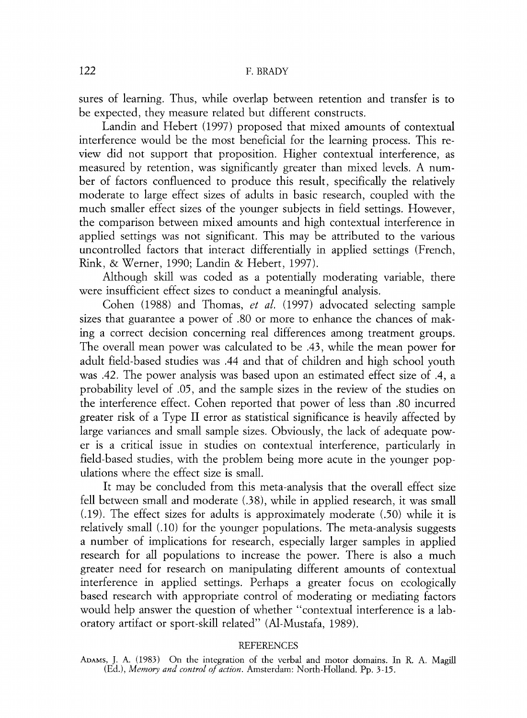sures of learning. Thus, while overlap between retention and transfer is to be expected, they measure related but different constructs.

Landin and Hebert (1997) proposed that mixed amounts of contextual interference would be the most beneficial for the learning process. This review did not support that proposition. Higher contextual interference, as measured by retention, was significantly greater than mixed levels. A number of factors confluenced to produce this result, specifically the relatively moderate to large effect sizes of adults in basic research, coupled with the much smaller effect sizes of the younger subjects in field settings. However, the comparison between mixed amounts and high contextual interference in applied settings was not significant. This may be attributed to the various uncontrolled factors that interact differentially in applied settings (French, Rink, & Werner, 1990; Landin & Hebert , 1997).

Although skill was coded as a potentially moderating variable, there were insufficient effect sizes to conduct a meaningful analysis.

Cohen (1988) and Thomas, *et al.* (1997) advocated selecting sample sizes that guarantee a power of .80 or more to enhance the chances of making a correct decision concerning real differences among treatment groups. The overall mean power was calculated to be .43, while the mean power for adult field-based studies was .44 and that of children and high school youth was .42. The power analysis was based upon an estimated effect size of .4, a probability level of .05, and the sample sizes in the review of the studies on the interference effect. Cohen reported that power of less than .80 incurred greater risk of a Type I1 error as statistical significance is heavily affected by large variances and small sample sizes. Obviously, the lack of adequate power is a critical issue in studies on contextual interference, particularly in field-based studies, with the problem being more acute in the younger populations where the effect size is small.

It may be concluded from this meta-analysis that the overall effect size fell between small and moderate (.38), while in applied research, it was small (.19). The effect sizes for adults is approximately moderate (.50) while it is relatively small (.lo) for the younger populations. The meta-analysis suggests a number of implications for research, especially larger samples in applied research for all populations to increase the power. There is also a much greater need for research on manipulating different amounts of contextual interference in applied settings. Perhaps a greater focus on ecologically based research with appropriate control of moderating or mediating factors would help answer the question of whether "contextual interference is a laboratory artifact or sport-skill related'' (Al-Mustafa, 1989).

### **REFERENCES**

**ADAMS,** J. **A.** (1983) On the integration of the verbal and motor domains. In R. A. Magdl (Ed.), *Memory and control of action.* Amsterdam: North-Holland. Pp. 3-15.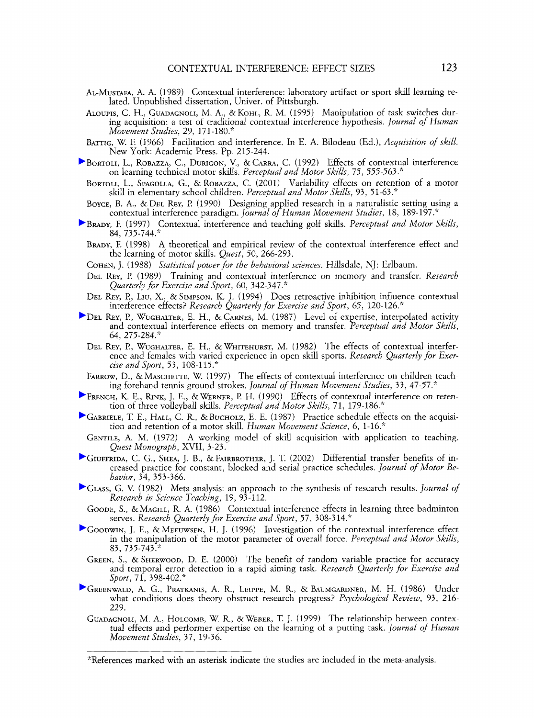- AL-MUSTAFA,. A. (1989) Contextual interference: laboratory artifact or sport skill learning re- lated. Unpublished dissertation, Univer. of Pittsburgh.
- ALOUPIS, C. H., GUADAGNOLI, M. A., & KOHL, R. M. (1995) Manipulation of task switches during acquisition: a test of traditional contextual inrerference pypothesis. *Journal of Human Movement Studies,* 29, 171-180."
- BATTIG, W. F. (1966) Facilitation and interference. In E. A. Bilodeau (Ed.), *Acquisition of skill.*  New York: Academic Press. Pp. 215-244.
- BORTOLI, L., ROBAZZA, C., DURIGON, V., & CARRA, C. (1992) Effects of contextual interference on learning technical motor skills. *Perceptual and Motor Skills,* 75, 555-563."
- BORTOLI, L., SPAGOLLA, G., & ROBAZZA, C. (2001) Variability effects on retention of a motor skill in elementary school children. Perceptual and Motor Skills, 93, 51-63.<sup>\*</sup>
- BOYCE, B. A., & DEL REY, P. (1990) Designing applied research in a naturalistic setting using a contextual interference paradigm. *Journal oj%uman Movement Studies,* 18, 189-197.\*
- BRADY, F.(1997) Contextual interference and teaching golf skills. *Perceptual and Motor Skills,*  84, 735-744."
	- BRADY, F.(1998) A theoretical and empirical review of the contextual interference effect and the learning of motor skills. *Quest,* 50, 266-293.
	- COHEN, J. (1988) *Statistical power for the behavioral sciences.* Hillsdale, *NJ:* Erlbaum.
	- DEL REY, P. (1989) Training and contextual interference on memory and transfer. *Research Quarterly for Exercise and Sport,* 60, 342-347."
	- DEL REY, P., LIU, X., & SIMPSON, K. J. (1994) Does retroactive inhibition influence contextual interference effects? *Research Quarterly for Exercise and Sport,* 65, 120-126."
- DEL REY, P., WUGHALTER, E. H., & CARNES, M. (1987) Level of expertise, interpolated activity and contextual interference effects on memory and transfer. *Perceptual and Motor Skills, 64,* 275-284.\*
	- DEL REY, P., WUGHALTER, E. H., & WHITEHURST, M. (1982) The effects of contextual interference and females with varied experience in open skill sports. *Research Quarterly for Exercise and Sport,* 53, 108-115."
	- FARROW, D., &MASCHETTE, W.(1997) The effects of contextual interference on children teaching forehand tennis ground strokes. *Journal of Human Movement Studies,* 33, 47-57.''
- FRENCH, K. E., RINK, J. E., & WERNER, P. H. (1990) Effects of contextual interference on retention of three volleyball skills. *Perceptual and Motor Skills*, 71, 179-186.<sup>\*</sup>
- GABRIELE, T. E., HALL, C. R., &BUCHOLZ, E. E. (1987) Practice schedule effects on the acquisi-tion and retention of a motor skill. *Human Movement Science, 6,* 1-16."
- GENTILE, A. M. (1972) A working model of skill acquisition with application to teaching. *Quest Monograph,* XVII, 3-23.
- GIUFFRIDA, C. G., SHEA, J. B., & FAIRBROTHER, J. T. (2002) Differential transfer benefits of increased practice for constant, blocked and serial practice schedules. *Journal of Motor Behavior,* 34, *353-366.*
- GLASS, G. V. (1982) Meta-analysis: an approach to the synthesis of research results. *Journal of Research* tiz *Science Teaching,* 19, 93 - 1 12.
	- GOODE, S., &MAGILL, R. A. (1986) Contextual interference effects in learning three badminton serves. *Research Quarterly for Exercise and Sport,* 57, 308-314.''
- GOODWIN, J.E., & MEEUWSEN, H. J. (1996) Investigation of the contextual interference effect in the manipulation of the motor parameter of overall force. *Perceptual and Motor Skills,*  83, 735-743."
- GREEN, S., & SHERWOOD, D. E. (2000) The benefit of random variable practice for accuracy and temporal error detection in a rapid aiming task. *Research Quarterly for Exercise and Sport,* 71, 398-402."
- GREENWALD, A. G., PRATKANIS, A. R., LEIPPE, M. R., & BAUMGARDNER, M. H. (1986) Under what conditions does theory obstruct research progress? *Psychological Review,* 93, 216- 229.
	- GUADAGNOLI, M. **A.,** HOLCOMB, W.R., &WEBER, T. J. (1999) The relationship between contextual effects and performer expertise on the learning of a putting task. *Journal of Human Movement Studies, 37,* 19-36.

<sup>&</sup>quot;References marked with an asterisk indicate the studies are included in the meta-analysis.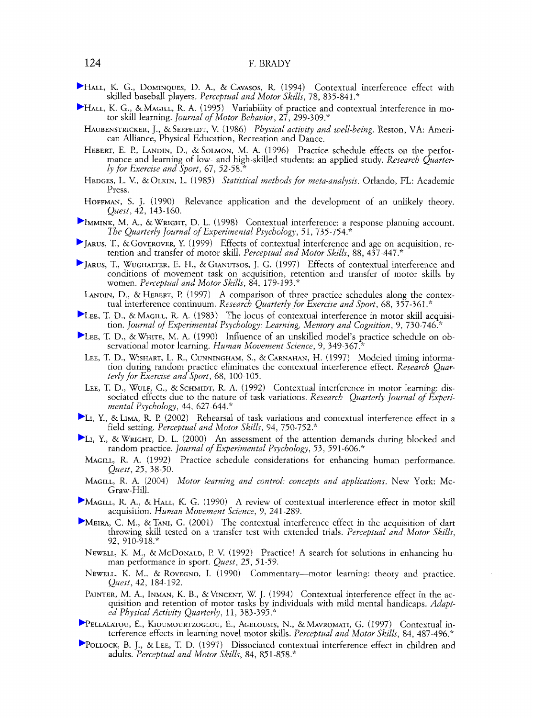### 124 F. BRADY

- HALL, K. G., DOMINQUES, D. A., & CAVASOS, R. (1994) Contextual interference effect with skilled baseball players. *Perceptual and Motor Skills,* 78, 835-84 1 ."
- HALL, K. G., &MAGILL, R. A. (1995) Variability of practice and contextual interference in motor skill learning. *Journal of Motor Behavior,* 27, 299-309."
	- HAUBENSTRICKER, J., & SEEFELDT, V. (1986) *Physical activity and well-being.* Reston, VA: American Alliance, Physical Education, Recreation and Dance.
	- HEBERT, E. I?, LANDIN, D., & SOLMON, M. A. (1996) Practice schedule effects on the perfor- mance and learning of low- and high-skilled students: an applied study. *Research Quarterly for Exercise and Sport,* 67, 52-58."
	- HEDGES, L. V., &OLKIN, L. (1985) *Statistical methods for meta-analysis.* Orlando, *FL:* Academic Press.
	- HOFFMAN, S. J. (1990) Relevance application and the development of an unlikely theory. *Quest,* 42, 143-160.
- IMMINK, M. A., &WRIGHT, D. L. (1998) Contextual interference: a response planning account. The Quarterly Journal of Experimental Psychology, 51, 735-754.\*
- JARUS, T., &GOVEROVER, Y. (1999) Effects of contextual interference and age on acquisition, retention and transfer of motor skill. *Perceptual and Motor Skills,* 88, 437-447.\*
- JARUS, T., WUGHALTER, E. H., &GIANUTSOS, J. G. (1997) Effects of contextual interference and conditions of movement task on acquisition, retention and transfer of motor skills by women. *Perceptual and Motor Skills,* 84, 179- 193 .\*
	- LANDIN, D., & HEBERT, P. (1997) A comparison of three practice schedules along the contextual interference continuum. *Research Quarterly for Exercise and Sport,* 68, 357-361."
- LEE, T. D., &MAGILL, R. A. (1983) The locus of contextual interference in motor skill acquisition. *Journal of Experimental Psychology: Learning, Memory and Cognition*, 9, 730-746.<sup>\*</sup>
- LEE, T. D., &WHITE, M. A. (1990) Influence of an unskilled model's practice schedule on observational motor learning. *Human Movement Science*, 9, 349-367.
	- LEE, T. D., WISHART, L. R., CUNNINGHAM, S., & CARNAHAN, H. (1997) Modeled timing information during random practice eliminates the contextual interference effect. *Research Quarterly for Exercise and Sport,* 68, 100-105.
- LEE, T. D., WULF, G., & SCHMIDT, R. A. (1992) Contextual interference in motor learning: dissociated effects due to the nature of task variations. *Research Quarterly Journal of Experimental Psychology,* 44, 627-644."
- LI, Y., &LIMA, R. I? (2002) Rehearsal of task variations and contextual interference effect in a field setting. *Perceptual and Motor Skills,* 94, 750-752."
- LI, Y., &WRIGHT, D. L. (2000) An assessment of the attention demands during blocked and random practice. *Journal of Experimental Psychology,* 53, 591-606."
- MAGILL, R. A. (1992) Practice schedule considerations for enhancing human performance. *Quest,* 25, 38-50.
- MAGILL, R. A. (2004) *Motor learning and control: concepts and applications.* New York: Mc-Graw-Hill.
- MAGILL, R. A., & HALL, K. G. (1990) A review of contextual interference effect in motor skill acquisition. *Human Movement Science,* 9, 241-289.
- MEIRA, C. M., & TANI, G. (2001) The contextual interference effect in the acquisition of dart throwing skill tested on a transfer test with extended trials. *Perceptual and Motor Skills,*  92, 910-918."
	- NEWELL, K. M., &MCDONALD, P. V. (1992) Practice! A search for solutions in enhancing human performance in sport. *Quest,* 25, 51-59.
	- NEWELL, K. M., & ROVEGNO, I. (1990) Commentary-motor learning: theory and practice. *Quest,* 42, 184-192.
	- PAINTER, M. A., INMAN, K. B., &VINCENT, W. J. (1994) Contextual interference effect in the ac- quisition and retention of motor tasks by individuals with mild mental handicaps. *Adapted Physical Activity Quarterly,* 11, 383 -395 ."
- PELLALATOU, E., KIOUMOURTZOGLOU, E., AGELOUSIS, N., & MAVROMATI, G.(1997) Contextual in-terference effects in learning novel motor skills. *Perceptual and Motor Skills,* 84, 487-496."
- POLLOCK, B.J., &LEE, T. D. (1997) Dissociated contextual interference effect in children and adults. *Perceptual and Motor Skills,* 84, 851-858."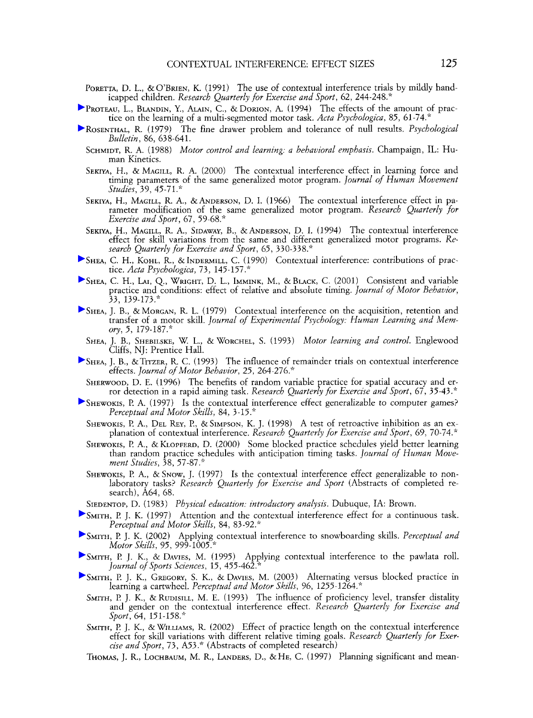- PORETTA, D. L., & O'BRIEN, K. (1991) The use of contextual interference trials by mildly handicapped children. *Research Quarterly for Exercise and Sport,* 62, 244-248."
- PROTEAU, L., BLANDIN, Y., ALAIN, C., & DORION, A. (1994) The effects of the amount of prac-tice on the learning of a multi-segmented motor task. *Acta Psychologica,* 85, 61-74."
- ROSENTHAL, R.(1979) The fine drawer problem and tolerance of null results. *Psychological Bulletin*, 86, 638-641.
	- SCHMIDT, R. A. (1988) *Motor control and learning: a behavioral emphasis.* Champaign, *IL:* Human Kinetics.
	- SEKIYA, H., & MAGILL, R. A. (2000) The contextual interference effect in learning force and timing parameters of the same generalized motor program. *Journal of Human Movement Studies,* 39, 45-71."
	- SEKIYA, H., MAGILL, R. A., &ANDERSON, D.I. (1966) The contextual interference effect in parameter modification of the same generalized motor program. *Research Quarterly for Exercise and Sport,* 67, 59-68."
	- SEKIYA, H., MAGILL, R. A., SIDAWAY, B., & ANDERSON, D. I. (1994) The contextual interference effect for skill variations from the same and different generalized motor programs. *Research Quarterly for Exercise and Sport,* 65, 330-338."
- SHEA, C. H., KOHL, R., &INDERMILL, *C.* (1990) Contextual interference: contributions of practice. *Acta Psychologica, 73,* 145- 157 ."
- SHEA, C. H., LI, Q., WRIGHT, D. L., IMMINK, M., &BLACK, C. (2001) Consistent and variable practice and conditions: effect of relative and absolute timing. *Journal of Motor Behavior,*  33, 139-173."
- SHEA, J. B., &MORGAN, R. L. (1979) Contextual interference on the acquisition, retention and transfer of a motor skill. *Journal of Experimental Psychology: Human Learning and Memory,* 5, 179-187."
- SHEA, J. B., SHEBILSKE, W. L., & WORCHEL, S. (1993) *Motor learning and control.* Englewood Cliffs, NJ: Prentice Hall.
- SHM, J. B., &TITZER, R. C. (1993) The influence of remainder trials on contextual interference effects. *Journal of Motor Behavior*, 25, 264-276.<sup>\*</sup>
- SHERWOOD, D. E. (1996) The benefits of random variable practice for spatial accuracy and error detection in a rapid aiming task. *Research Quarterly for Exercise and Sport*, 67, 35-43.\*
- $\blacktriangleright$  SHEWOKIS, P. A. (1997) Is the contextual interference effect generalizable to computer games? *Perceptual and Motor Skills, 84,* 3 - 15 ."
	- SHEWOKIS, P. A., DEL REY, P., & SIMPSON, K. J. (1998) A test of retroactive inhibition as an explanation of contextual interference. *Research Quarterly for Exercise and Sport,* 69, 70-74.\*
	- SHEWOKIS, **I?** A., & KLOPFERD, D. (2000) Some blocked practice schedules yield better learning than random practice schedules with anticipation timing tasks. *Journal of Human Mouement Studies,* 38, 57-87."
	- SHEWOKIS, **I? A.,** &SNOW, J. (1997) Is the contextual interference effect generalizable to non-laboratory tasks? *Research Quarterly .for Exercise and Sport* (Abstracts of completed research), A64, 68.
- SIEDENTOP, D. (1983) *Physical education: introductory analysis.* Dubuque, IA: Brown.
- SMITH, **l?** J. K. (1997) Attention and the contextual interference effect for a continuous task. *Perceptual and Motor Skills,* 84, 83-92."
- SMITH, **l?** J. K. (2002) Applying contextual interference to snowboarding skills. *Perceptual and Motor Skills,* 95, 999- 1005."
- SMITH, **l?** J. K., & DAVIES, M. (1995) Applying contextual interference to the pawlata roll. *Journal of Sports Sciences,* 15, 455-462."
- SMITH, P. J. K., GREGORY, S. K., & DAVIES, M. (2003) Alternating versus blocked practice in learning a cartwheel. *Perceptual and Motor Skills,* 96, 1255-1264."
	- SMITH, **l?** J. K., & RUDISILL, M. E. (1993) The influence of proficiency level, transfer distality and gender on the contextual interference effect. *Research Quarterly for Exercise and Sport,* 64, 151-158."
	- SMITH, **I?** J. K., &WILLIAMS, R. (2002) Effect of practice length on the contextual interference effect for skill variations with different relative timing goals. *Research Quarterly for Exercise and Sport,* 73, A53." (Abstracts of completed research)
	- THOMAS, J. R., LOCHBAUM, M. R., LANDERS, D., &HE, C. (1997) Planning significant and mean-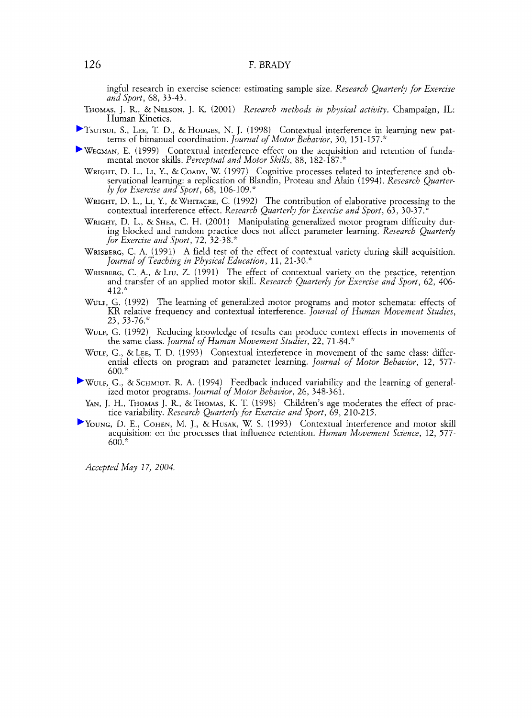#### F. BRADY

ingful research in exercise science: estimating sample size. *Research Quarterly for Exercise and Sport, 68, 33-43.* 

- THOMAS, J.R., &NELSON, J. K. *(2001) Research methods in physical activity.* Champaign, *IL:*  Human Kinetics.
- TSUTSUI, S., LEE, T. D., & HODGES, N. J. *(1998)* Contextual interference in learning new pat-terns of bimanual coordination. *Journal of Motor Behavior, 30, 151-157."*
- WEGMAN, E. *(1999)* Contextual interference effect on the acquisition and retention of fundamental motor skills. *Perceptual and Motor Skills, 88, 182-187."* 
	- WRIGHT, D. L., LI, Y., & COADY, W. (1997) Cognitive processes related to interference and observational learning: a replication of Blandin, Proteau and Alain (1994). Research Quarter*ly for Exercise and Sport, 68, 106-109."*
	- WRIGHT, D. L., LI, Y., &WHITACRE, C. *(1992)* The contribution of elaborative processing to the contextual interference effect. *Research Quarterly for Exercise and Sport, 63, 30-37."*
	- WRIGHT, D. L., & SHEA, C. H. (2001) Manipulating generalized motor program difficulty during blocked and random practice does not affect parameter learning. *Research Quarterly for Exercise and Sport, 72, 32-38."*
	- WRISBERG, *C.* A. *(1991) A* field test of the effect of contextual variety during skill acquisition. *Journal of Teaching in Physical Education, 11, 21-30."*
	- WRISBERG, C. **A.,** & LIU, Z. *(1991)* The effect of contextual variety on the practice, retention and transfer of an applied motor skill. *Research Quarterly for Exercise and Sport, 62, 406- 412."*
	- WULF, *G. (1992)* The learning of generalized motor programs and motor schemata: effects of KR relative frequency and contextual interference. *Journal of Hunzan Movement Studies, 23, 53 -76."*
	- WULF, *G. (1992)* Reducing knowledge of results can roduce context effects in movements of the same class. *Journal of Human Movement Studies*, 22, 71-84.\*
	- WULF, *G.,* &LEE, T. D. *(1993)* Contextual interference in movement of the same class: differential effects on program and parameter learning. *Journal of Motor Behavior, 12, 577- 600."*
- WULF, *G.,* &SCHMIDT, R. A. *(1994)* Feedback induced variability and the learning of generalized motor programs. *Journal of Motor Behavior, 26, 348-361.* 
	- YAN, J. H., THOMAS J. R., & THOMAS, K. T.  $(1998)$  Children's age moderates the effect of practice variability. *Research Quarterly for Exercise and Sport, 69, 210-215.*
- YOUNG, D. E., COHEN, M. J., & HUSAK, W. S. *(1993)* Contextual interference and motor skill acquisition: on the processes that influence retention. *Human Movement Science, 12, 577- 600."*

*Accepted May 1 7, 2004.*